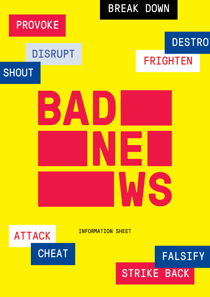

INFORMATION SHEET



# STRIKE BACK FALSIFY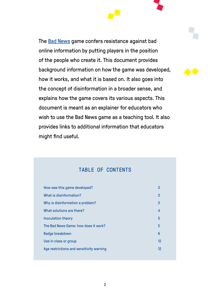The [Bad News](http://www.getbadnews.com) game confers resistance against bad online information by putting players in the position of the people who create it. This document provides background information on how the game was developed, how it works, and what it is based on. It also goes into the concept of disinformation in a broader sense, and explains how the game covers its various aspects. This document is meant as an explainer for educators who wish to use the Bad News game as a teaching tool. It also provides links to additional information that educators might find useful.

## TABLE OF CONTENTS

| How was this game developed?             | 3  |
|------------------------------------------|----|
| What is disinformation?                  | 3  |
| Why is disinformation a problem?         | 3  |
| What solutions are there?                | 4  |
| Inoculation theory                       | 5  |
| The Bad News Game: how does it work?     | 5  |
| <b>Badge breakdown</b>                   | 6  |
| Use in class or group                    | 12 |
| Age restrictions and sensitivity warning | 12 |
|                                          |    |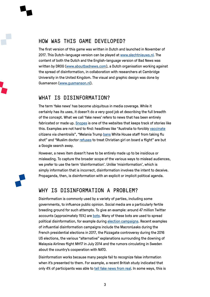## HOW WAS THIS GAME DEVELOPED?

The first version of this game was written in Dutch and launched in November of 2017. This Dutch-language version can be played at [www.slechtnieuws.nl](http://www.slechtnieuws.nl). The content of both the Dutch and the English-language version of Bad News was written by DROG [\(www.aboutbadnews.com\)](http://www.aboutbadnews.com), a Dutch organisation working against the spread of disinformation, in collaboration with researchers at Cambridge University in the United Kingdom. The visual and graphic design was done by Gusmanson ([www.gusmanson.nl](http://www.gusmanson.nl)).

## WHAT IS DISINFORMATION?

The term 'fake news' has become ubiquitous in media coverage. While it certainly has its uses, it doesn't do a very good job at describing the full breadth of the concept. What we call 'fake news' refers to news that has been entirely fabricated or made up. [Snopes](https://www.snopes.com/category/facts/fake-news/) is one of the websites that keeps track of stories like this. Examples are not hard to find: headlines like "Australia to forcibly [vaccinate](http://yournewswire.com/australia-to-forcibly-vaccinate-citizens-via-chemtrails/) citizens via chemtrails", "Melania Trump [bans](https://www.snopes.com/melania-trump-ban-flu-shot/) White House staff from taking flu shot" and "Muslim doctor [refuses](https://web.archive.org/web/20180108183412/http:/patriotunited.club/2018/01/03/muslim-doctor-refuses-to-save-a-christian-mans-life-on-flight-from-new-york-to-las-vegas/) to treat Christian girl on board a flight" are but a Google search away.

However, a news item doesn't have to be entirely made up to be insidious or misleading. To capture the broader scope of the various ways to mislead audiences, we prefer to use the term 'disinformation'. Unlike 'misinformation', which is simply information that is incorrect, disinformation involves the intent to deceive. Propaganda, then, is disinformation with an explicit or implicit political agenda.

## WHY IS DISINFORMATION A PROBLEM?

Disinformation is commonly used by a variety of parties, including some governments, to influence public opinion. Social media are a particularly fertile breeding ground for such attempts. To give an example: around 47 million Twitter accounts (approximately 15%) are [bots](https://arxiv.org/pdf/1703.03107.pdf). Many of these bots are used to spread political disinformation, for example during [election campaigns](https://arxiv.org/abs/1707.00086). Recent examples of influential disinformation campaigns include the MacronLeaks during the French presidential elections in 2017, the Pizzagate controversy during the 2016 US elections, the various "alternative" explanations surrounding the downing of Malaysia Airlines flight MH17 in July 2014 and the rumors circulating in Sweden about the country's cooperation with NATO.

Disinformation works because many people fail to recognize false information when it's presented to them. For example, a recent British study indicated that only 4% of participants was able to [tell fake news from real](https://www.channel4.com/info/press/news/c4-study-reveals-only-4-surveyed-can-identify-true-or-fake-news). In some ways, this is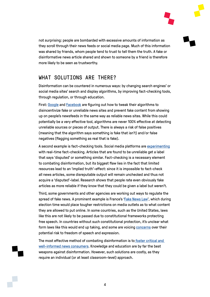not surprising: people are bombarded with excessive amounts of information as they scroll through their news feeds or social media page. Much of this information was shared by friends, whom people tend to trust to tell them the truth. A fake or disinformative news article shared and shown to someone by a friend is therefore more likely to be seen as trustworthy.

## WHAT SOLUTIONS ARE THERE?

Disinformation can be countered in numerous ways: by changing search engines' or social media sites' search and display algorithms, by improving fact-checking tools, through regulation, or through education.

First: [Google](http://fortune.com/2017/04/25/google-search-algorithm-fake-news/) and [Facebook](http://fortune.com/2017/08/03/facebook-fake-news-algorithm/) are figuring out how to tweak their algorithms to disincentivize fake or unreliable news sites and prevent fake content from showing up on people's newsfeeds in the same way as reliable news sites. While this could potentially be a very effective tool, algorithms are never 100% effective at detecting unreliable sources or pieces of output. There is always a risk of false positives (meaning that the algorithm says something is fake that isn't) and/or false negatives (flagging something as real that is fake).

A second example is fact-checking tools. Social media platforms are [experimenting](https://www.nytimes.com/2017/10/23/upshot/why-the-fact-checking-at-facebook-needs-to-be-checked.html) with real-time fact-checking. Articles that are found to be unreliable get a label that says 'disputed' or something similar. Fact-checking is a necessary element to combating disinformation, but its biggest flaw lies in the fact that limited resources lead to an 'implied truth'-effect: since it is impossible to fact-check all news articles, some disreputable output will remain unchecked and thus not acquire a 'disputed'-label. Research shows that people rate even obviously fake articles as more reliable if they know that they could be given a label but weren't.

Third, some governments and other agencies are working out ways to regulate the spread of fake news. A prominent example is France's ['Fake News Law'](http://www.bbc.co.uk/news/world-europe-42560688), which during election time would place tougher restrictions on media outlets as to what content they are allowed to put online. In some countries, such as the United States, laws like this are not likely to be passed due to constitutional frameworks protecting free speech. In countries without such constitutional protection, it's unclear what form laws like this would end up taking, and some are voicing [concerns](https://www.washingtonpost.com/world/europe/france-weighs-a-law-to-rein-in-fake-news-raising-fears-for-freedom-of-speech/2018/01/10/78256962-f558-11e7-9af7-a50bc3300042_story.html?utm_term=.79efa0fc4e7c) over their potential risk to freedom of speech and expression.

The most effective method of combating disinformation is to foster critical and [well-informed news consumers.](https://www.scientificamerican.com/article/the-ultimate-cure-for-the-fake-news-epidemic-will-be-more-skeptical-readers/) Knowledge and education are by far the best weapons against disinformation. However, such solutions are costly, as they require an individual (or at least classroom-level) approach.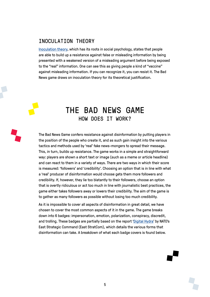## INOCULATION THEORY

[Inoculation theory](https://aboutbadnews.com/onlinelibrary.wiley.com/doi/10.1002/gch2.201600008/full), which has its roots in social psychology, states that people are able to build up a resistance against false or misleading information by being presented with a weakened version of a misleading argument before being exposed to the "real" information. One can see this as giving people a kind of "vaccine" against misleading information. If you can recognize it, you can resist it. The Bad News game draws on inoculation theory for its theoretical justification.

## THE BAD NEWS GAME HOW DOES IT WORK?

The Bad News Game confers resistance against disinformation by putting players in the position of the people who create it, and as such gain insight into the various tactics and methods used by 'real' fake news-mongers to spread their message. This, in turn, builds up resistance. The game works in a simple and straightforward way: players are shown a short text or image (such as a meme or article headline) and can react to them in a variety of ways. There are two ways in which their score is measured: 'followers' and 'credibility'. Choosing an option that is in line with what a 'real' producer of disinformation would choose gets them more followers and credibility. If, however, they lie too blatantly to their followers, choose an option that is overtly ridiculous or act too much in line with journalistic best practices, the game either takes followers away or lowers their credibility. The aim of the game is to gather as many followers as possible without losing too much credibility.

As it is impossible to cover all aspects of disinformation in great detail, we have chosen to cover the most common aspects of it in the game. The game breaks down into 6 badges: impersonation, emotion, polarization, conspiracy, discredit, and trolling. These badges are partially based on the report '[Digital Hydra'](https://www.stratcomcoe.org/digital-hydra-security-implications-false-information-online) by NATO's East Strategic Command (East StratCom), which details the various forms that disinformation can take. A breakdown of what each badge covers is found below.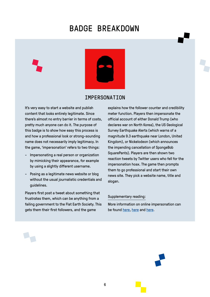# BADGE BREAKDOWN



### **TMPFRSONATION**

It's very easy to start a website and publish content that looks entirely legitimate. Since there's almost no entry barrier in terms of costs, pretty much anyone can do it. The purpose of this badge is to show how easy this process is and how a professional look or strong-sounding name does not necessarily imply legitimacy. In the game, 'impersonation' refers to two things:

- Impersonating a real person or organization by mimicking their appearance, for example by using a slightly different username.
- Posing as a legitimate news website or blog without the usual journalistic credentials and guidelines.

Players first post a tweet about something that frustrates them, which can be anything from a failing government to the Flat Earth Society. This gets them their first followers, and the game

explains how the follower counter and credibility meter function. Players then impersonate the official account of either Donald Trump (who declares war on North Korea), the US Geological Survey Earthquake Alerts (which warns of a magnitude 9.3 earthquake near London, United Kingdom), or Nickelodeon (which announces the impending cancellation of SpongeBob SquarePants). Players are then shown two reaction tweets by Twitter users who fell for the impersonation hoax. The game then prompts them to go professional and start their own news site. They pick a website name, title and slogan.

#### Supplementary reading:

More information on online impersonation can be found [here,](https://broadly.vice.com/en_us/article/ae5m7z/meet-the-people-pretending-to-be-celebrities-on-social-media) [here](http://101geek.com/how-to-make-big-money-online-with-fake-news-full-guide/) and [here](http://www.huffingtonpost.co.uk/entry/instagram-celebrity-impersonators_us_55bbc26be4b0d4f33a02c3d7).

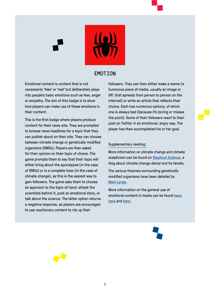

## EMOTION

Emotional content is content that is not necessarily 'fake' or 'real' but deliberately plays into people's basic emotions such as fear, anger or empathy. The aim of this badge is to show how players can make use of these emotions in their content.

This is the first badge where players produce content for their news site. They are prompted to browse news headlines for a topic that they can publish about on their site. They can choose between climate change or genetically modified organisms (GMOs). Players are then asked for their opinion on their topic of choice. The game prompts them to say that their topic will either bring about the apocalypse (in the case of GMOs) or is a complete hoax (in the case of climate change), as this is the easiest way to gain followers. The game asks them to choose an approach to the topic at hand: attack the scientists behind it, post an emotional story, or talk about the science. The latter option returns a negative response, as players are encouraged to use reactionary content to rile up their

followers. They can then either make a meme (a humorous piece of media, usually an image or GIF, that spreads from person to person on the internet) or write an article that reflects their choice. Each has numerous options, of which one is always bad (because it's boring or misses the point). Some of their followers react to their post on Twitter in an emotional, angry way. The player has then accomplished his or her goal.

#### Supplementary reading:

More information on climate change and climate scepticism can be found on [Skeptical Science](https://www.skepticalscience.com/), a blog about climate change denial and its tenets.

The various theories surrounding genetically modified organisms have been detailed by [Mark Lynas.](http://www.marklynas.org/2013/04/time-to-call-out-the-anti-gmo-conspiracy-theory/)

More information on the general use of emotional content in media can be found [here,](https://s3.amazonaws.com/academia.edu.documents/44151948/Media_Terrorism_and_Emotionality_Emotion20160327-26234-1butgr2.pdf?AWSAccessKeyId=AKIAIWOWYYGZ2Y53UL3A&Expires=1518454414&Signature=JLrBSFAKznSF7xn2wbh6HF7r2fU%3D&response-content-disposition=inline%3B%20filename%3DMedia_Terrorism_and_Emotionality_Emotion.pdf) [here](https://www.smartinsights.com/content-management/content-marketing-creative-and-formats/emotional-content-to-earn-attention/) and [here](https://www.coe.int/en/web/freedom-expression/home/-/asset_publisher/RAupmF2S6voG/content/tackling-disinformation-in-the-global-media-environment-new-council-of-europe-report?_101_INSTANCE_RAupmF2S6voG_viewMode=view/).



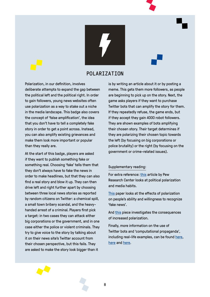

## POLARIZATION

Polarization, in our definition, involves deliberate attempts to expand the gap between the political left and the political right. In order to gain followers, young news websites often use polarization as a way to stake out a niche in the media landscape. This badge also covers the concept of 'false amplification', the idea that you don't have to tell a completely fake story in order to get a point across. Instead, you can also amplify existing grievances and make them look more important or popular than they really are.

At the start of this badge, players are asked if they want to publish something fake or something real. Choosing 'fake' tells them that they don't always have to fake the news in order to make headlines, but that they can also find a real story and blow it up. They can then drive left and right further apart by choosing between three local news stories as reported by random citizens on Twitter: a chemical spill, a small town bribery scandal, and the heavyhanded arrest of a criminal. Players first pick a target: in two cases they can attack either big corporations or the government, and in one case either the police or violent criminals. They try to give voice to the story by talking about it on their news site's Twitter account from their chosen perspective, but this fails. They are asked to make the story look bigger than it

is by writing an article about it or by posting a meme. This gets them more followers, as people are beginning to pick up on the story. Next, the game asks players if they want to purchase Twitter bots that can amplify the story for them. If they repeatedly refuse, the game ends, but if they accept they gain 4000 robot followers. They are shown examples of bots amplifying their chosen story. Their target determines if they are polarizing their chosen topic towards the left (by focusing on big corporations or police brutality) or the right (by focusing on the government or crime-related issues).

#### Supplementary reading:

For extra reference: [this](http://www.journalism.org/2014/10/21/political-polarization-media-habits/) article by Pew Research Center looks at political polarization and media habits.

[This](https://arxiv.org/pdf/1706.05924.pdf) paper looks at the effects of polarization on people's ability and willingness to recognize 'fake news'.

And [this](http://www.apsanet.org/portals/54/Files/Task%20Force%20Reports/Chapter2Mansbridge.pdf) piece investigates the consequences of increased polarization.

Finally, more information on the use of Twitter bots and 'computational propaganda', including real-life examples, can be found [here](http://comprop.oii.ox.ac.uk/wp-content/uploads/sites/89/2017/06/Casestudies-ExecutiveSummary.pdf), [here](https://www.politico.com/magazine/story/2018/02/04/trump-twitter-russians-release-the-memo-216935) and [here](https://arxiv.org/ftp/arxiv/papers/1606/1606.06356.pdf).

8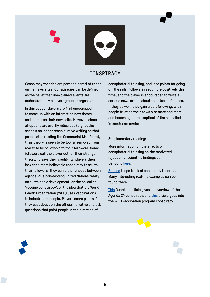

## CONSPIRACY

Conspiracy theories are part and parcel of fringe online news sites. Conspiracies can be defined as the belief that unexplained events are orchestrated by a covert group or organization.

In this badge, players are first encouraged to come up with an interesting new theory and post it on their news site. However, since all options are overtly ridiculous (e.g. public schools no longer teach cursive writing so that people stop reading the Communist Manifesto), their theory is seen to be too far removed from reality to be believable to their followers. Some followers call the player out for their strange theory. To save their credibility, players then look for a more believable conspiracy to sell to their followers. They can either choose between Agenda 21, a non-binding United Nations treaty on sustainable development, or the so-called 'vaccine conspiracy', or the idea that the World Health Organization (WHO) uses vaccinations to indoctrinate people. Players score points if they cast doubt on the official narrative and ask questions that point people in the direction of

conspiratorial thinking, and lose points for going off the rails. Followers react more positively this time, and the player is encouraged to write a serious news article about their topic of choice. If they do well, they gain a cult following, with people trusting their news site more and more and becoming more sceptical of the so-called 'mainstream media'.

#### Supplementary reading:

More information on the effects of conspiratorial thinking on the motivated rejection of scientific findings can be found [here](http://journals.plos.org/plosone/article?id=10.1371/journal.pone.0075637).

[Snopes](https://www.snopes.com/2017/12/29/2017s-biggest-conspiracy-theories/) keeps track of conspiracy theories. Many interesting real-life examples can be found there.

[This](https://www.theguardian.com/sustainable-business/2015/jun/24/agenda-21-conspiracy-theory-sustainability) Guardian article gives an overview of the Agenda 21-conspiracy, and [this](https://psmag.com/news/a-brief-history-of-vaccine-conspiracy-theories) article goes into the WHO vaccination program conspiracy.

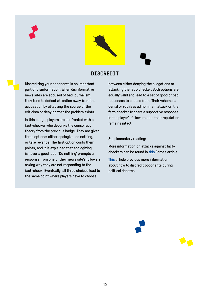



## DISCREDIT

Discrediting your opponents is an important part of disinformation. When disinformative news sites are accused of bad journalism, they tend to deflect attention away from the accusation by attacking the source of the criticism or denying that the problem exists.

In this badge, players are confronted with a fact-checker who debunks the conspiracy theory from the previous badge. They are given three options: either apologize, do nothing, or take revenge. The first option costs them points, and it is explained that apologizing is never a good idea. 'Do nothing' prompts a response from one of their news site's followers asking why they are not responding to the fact-check. Eventually, all three choices lead to the same point where players have to choose

between either denying the allegations or attacking the fact-checker. Both options are equally valid and lead to a set of good or bad responses to choose from. Their vehement denial or ruthless ad hominem attack on the fact-checker triggers a supportive response in the player's followers, and their reputation remains intact.

#### Supplementary reading:

More information on attacks against factcheckers can be found in [this](https://www.forbes.com/forbes/welcome/?toURL=https://www.forbes.com/sites/kalevleetaru/2016/12/22/the-daily-mail-snopes-story-and-fact-checking-the-fact-checkers/&refURL=https://www.google.co.uk/&referrer=https://www.google.co.uk/) Forbes article.

[This](http://ceur-ws.org/Vol-740/UMMS2011_paper4.pdf) article provides more information about how to discredit opponents during political debates.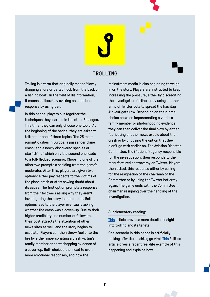## TROLLING

Trolling is a term that originally means 'slowly dragging a lure or baited hook from the back of a fishing boat'. In the field of disinformation, it means deliberately evoking an emotional response by using bait.

In this badge, players put together the techniques they learned in the other 5 badges. This time, they can only choose one topic. At the beginning of the badge, they are asked to talk about one of three topics (the 25 most romantic cities in Europe; a passenger plane crash; and a newly discovered species of starfish), of which only the second one leads to a full-fledged scenario. Choosing one of the other two prompts a scolding from the game's moderator. After this, players are given two options: either pay respects to the victims of the plane crash or start sowing doubt about its cause. The first option prompts a response from their followers asking why they aren't investigating the story in more detail. Both options lead to the player eventually asking whether the crash was a cover-up. Due to their higher credibility and number of followers, their post attracts the attention of other news sites as well, and the story begins to escalate. Players can then throw fuel onto the fire by either impersonating a crash victim's family member or photoshopping evidence of a cover-up. Both choices then lead to even more emotional responses, and now the

mainstream media is also beginning to weigh in on the story. Players are instructed to keep increasing the pressure, either by discrediting the investigation further or by using another army of Twitter bots to spread the hashtag #InvestigateNow. Depending on their initial choice between impersonating a victim's family member or photoshopping evidence, they can then deliver the final blow by either fabricating another news article about the crash or by choosing the option that they didn't go with earlier on. The Aviation Disaster Committee, the (fictional) agency responsible for the investigation, then responds to the manufactured controversy on Twitter. Players then attack this response either by calling for the resignation of the chairman of the Committee or by using the Twitter bot army again. The game ends with the Committee chairman resigning over the handling of the investigation.

#### Supplementary reading:

[This](https://www.lifewire.com/what-is-internet-trolling-3485891) article provides more detailed insight into trolling and its tenets.

One scenario in this badge is artificially making a Twitter hashtag go viral. [This](https://www.politico.com/magazine/story/2018/02/04/trump-twitter-russians-release-the-memo-216935) Politico article gives a recent real-life example of this happening and explains how.